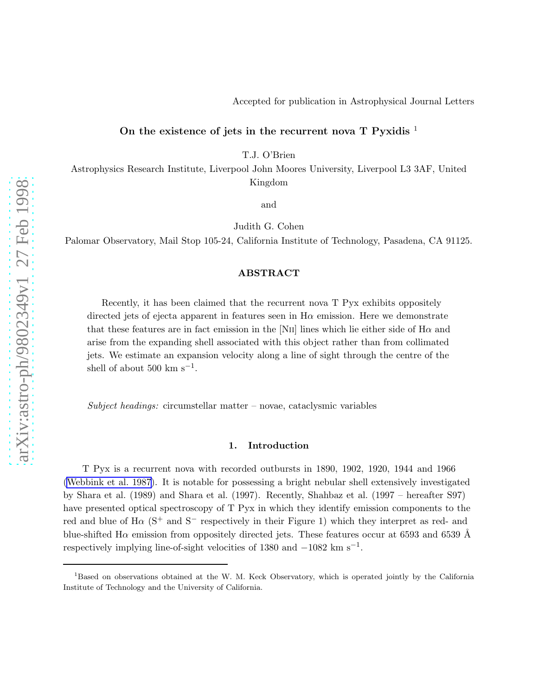## On the existence of jets in the recurrent nova  $T$  Pyxidis  $<sup>1</sup>$ </sup>

T.J. O'Brien

Astrophysics Research Institute, Liverpool John Moores University, Liverpool L3 3AF, United Kingdom

and

Judith G. Cohen

Palomar Observatory, Mail Stop 105-24, California Institute of Technology, Pasadena, CA 91125.

#### ABSTRACT

Recently, it has been claimed that the recurrent nova T Pyx exhibits oppositely directed jets of ejecta apparent in features seen in  $H\alpha$  emission. Here we demonstrate that these features are in fact emission in the [N<sub>II</sub>] lines which lie either side of H $\alpha$  and arise from the expanding shell associated with this object rather than from collimated jets. We estimate an expansion velocity along a line of sight through the centre of the shell of about 500 km  $s^{-1}$ .

Subject headings: circumstellar matter – novae, cataclysmic variables

### 1. Introduction

T Pyx is a recurrent nova with recorded outbursts in 1890, 1902, 1920, 1944 and 1966 [\(Webbink et al. 1987](#page-3-0)). It is notable for possessing a bright nebular shell extensively investigated by Shara et al. (1989) and Shara et al. (1997). Recently, Shahbaz et al. (1997 – hereafter S97) have presented optical spectroscopy of T Pyx in which they identify emission components to the red and blue of  $H\alpha$  (S<sup>+</sup> and S<sup>-</sup> respectively in their Figure 1) which they interpret as red- and blue-shifted H $\alpha$  emission from oppositely directed jets. These features occur at 6593 and 6539 Å respectively implying line-of-sight velocities of 1380 and  $-1082 \text{ km s}^{-1}$ .

<sup>&</sup>lt;sup>1</sup>Based on observations obtained at the W. M. Keck Observatory, which is operated jointly by the California Institute of Technology and the University of California.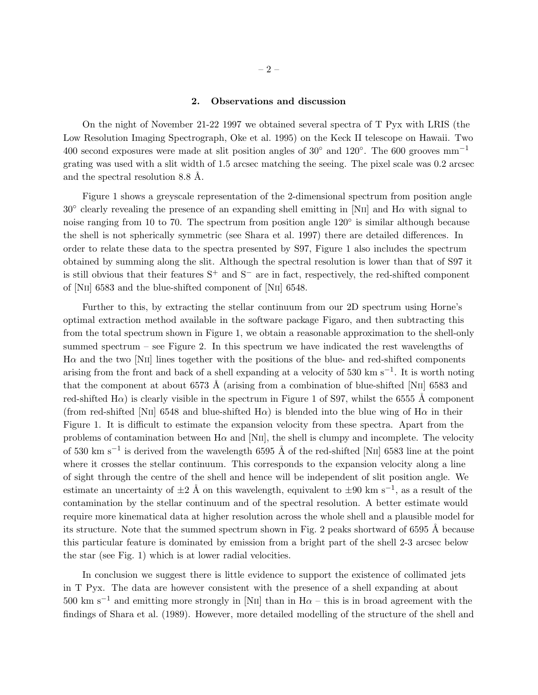### 2. Observations and discussion

On the night of November 21-22 1997 we obtained several spectra of T Pyx with LRIS (the Low Resolution Imaging Spectrograph, Oke et al. 1995) on the Keck II telescope on Hawaii. Two 400 second exposures were made at slit position angles of  $30^{\circ}$  and  $120^{\circ}$ . The 600 grooves mm<sup>-1</sup> grating was used with a slit width of 1.5 arcsec matching the seeing. The pixel scale was 0.2 arcsec and the spectral resolution 8.8 Å.

Figure 1 shows a greyscale representation of the 2-dimensional spectrum from position angle  $30^{\circ}$  clearly revealing the presence of an expanding shell emitting in [NII] and H $\alpha$  with signal to noise ranging from 10 to 70. The spectrum from position angle 120<sup>°</sup> is similar although because the shell is not spherically symmetric (see Shara et al. 1997) there are detailed differences. In order to relate these data to the spectra presented by S97, Figure 1 also includes the spectrum obtained by summing along the slit. Although the spectral resolution is lower than that of S97 it is still obvious that their features  $S^+$  and  $S^-$  are in fact, respectively, the red-shifted component of [NII] 6583 and the blue-shifted component of [NII] 6548.

Further to this, by extracting the stellar continuum from our 2D spectrum using Horne's optimal extraction method available in the software package Figaro, and then subtracting this from the total spectrum shown in Figure 1, we obtain a reasonable approximation to the shell-only summed spectrum – see Figure 2. In this spectrum we have indicated the rest wavelengths of  $H\alpha$  and the two [NII] lines together with the positions of the blue- and red-shifted components arising from the front and back of a shell expanding at a velocity of 530 km s−<sup>1</sup> . It is worth noting that the component at about 6573 Å (arising from a combination of blue-shifted [NII] 6583 and red-shifted H $\alpha$ ) is clearly visible in the spectrum in Figure 1 of S97, whilst the 6555 Å component (from red-shifted [NII] 6548 and blue-shifted  $H\alpha$ ) is blended into the blue wing of  $H\alpha$  in their Figure 1. It is difficult to estimate the expansion velocity from these spectra. Apart from the problems of contamination between  $H\alpha$  and [NII], the shell is clumpy and incomplete. The velocity of 530 km s<sup>-1</sup> is derived from the wavelength 6595 Å of the red-shifted [NII] 6583 line at the point where it crosses the stellar continuum. This corresponds to the expansion velocity along a line of sight through the centre of the shell and hence will be independent of slit position angle. We estimate an uncertainty of  $\pm 2$  Å on this wavelength, equivalent to  $\pm 90$  km s<sup>-1</sup>, as a result of the contamination by the stellar continuum and of the spectral resolution. A better estimate would require more kinematical data at higher resolution across the whole shell and a plausible model for its structure. Note that the summed spectrum shown in Fig. 2 peaks shortward of 6595 Å because this particular feature is dominated by emission from a bright part of the shell 2-3 arcsec below the star (see Fig. 1) which is at lower radial velocities.

In conclusion we suggest there is little evidence to support the existence of collimated jets in T Pyx. The data are however consistent with the presence of a shell expanding at about 500 km s<sup>-1</sup> and emitting more strongly in [N<sub>II</sub>] than in H $\alpha$  – this is in broad agreement with the findings of Shara et al. (1989). However, more detailed modelling of the structure of the shell and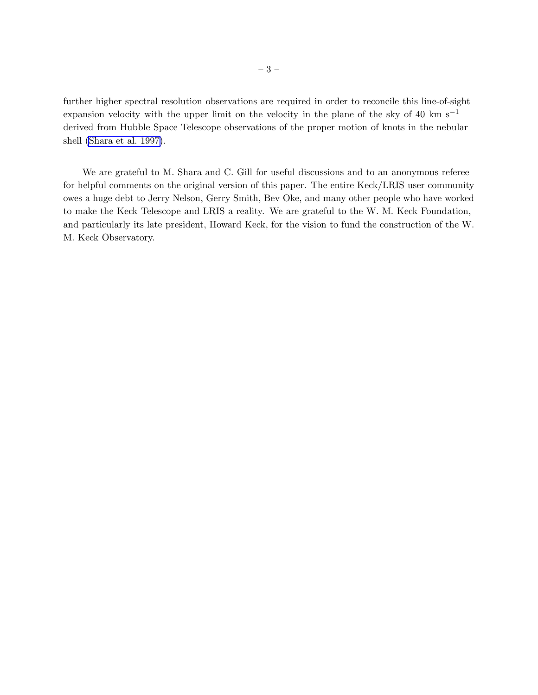further higher spectral resolution observations are required in order to reconcile this line-of-sight expansion velocity with the upper limit on the velocity in the plane of the sky of 40 km s<sup>−1</sup> derived from Hubble Space Telescope observations of the proper motion of knots in the nebular shell [\(Shara et al. 1997\)](#page-3-0).

We are grateful to M. Shara and C. Gill for useful discussions and to an anonymous referee for helpful comments on the original version of this paper. The entire Keck/LRIS user community owes a huge debt to Jerry Nelson, Gerry Smith, Bev Oke, and many other people who have worked to make the Keck Telescope and LRIS a reality. We are grateful to the W. M. Keck Foundation, and particularly its late president, Howard Keck, for the vision to fund the construction of the W. M. Keck Observatory.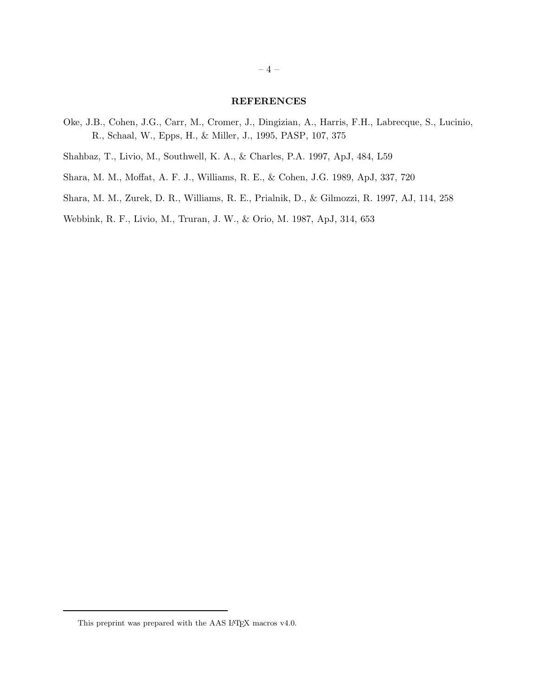# REFERENCES

- <span id="page-3-0"></span>Oke, J.B., Cohen, J.G., Carr, M., Cromer, J., Dingizian, A., Harris, F.H., Labrecque, S., Lucinio, R., Schaal, W., Epps, H., & Miller, J., 1995, PASP, 107, 375
- Shahbaz, T., Livio, M., Southwell, K. A., & Charles, P.A. 1997, ApJ, 484, L59
- Shara, M. M., Moffat, A. F. J., Williams, R. E., & Cohen, J.G. 1989, ApJ, 337, 720
- Shara, M. M., Zurek, D. R., Williams, R. E., Prialnik, D., & Gilmozzi, R. 1997, AJ, 114, 258

Webbink, R. F., Livio, M., Truran, J. W., & Orio, M. 1987, ApJ, 314, 653

This preprint was prepared with the AAS L<sup>AT</sup>EX macros v4.0.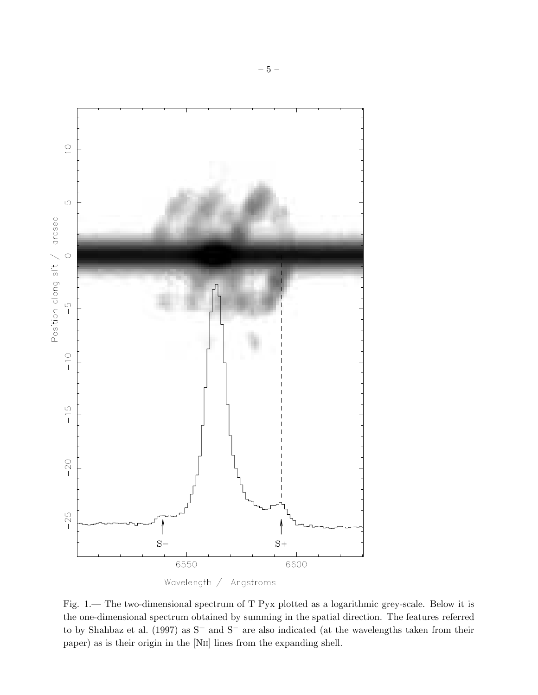

Fig. 1.— The two-dimensional spectrum of T Pyx plotted as a logarithmic grey-scale. Below it is the one-dimensional spectrum obtained by summing in the spatial direction. The features referred to by Shahbaz et al. (1997) as S<sup>+</sup> and S<sup>−</sup> are also indicated (at the wavelengths taken from their paper) as is their origin in the [NII] lines from the expanding shell.